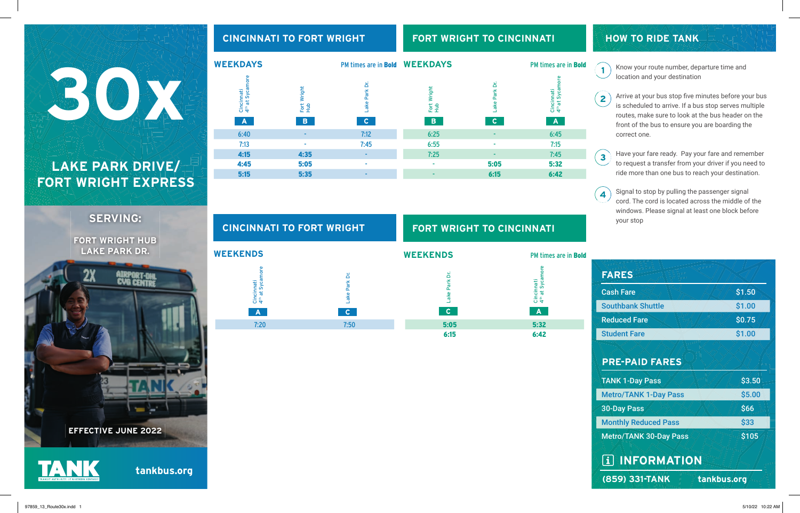## Cincinnati 4th at Sycamore Fort Wright Hub **LAKE PARK DRIVE/** 30XXX

# **FORT WRIGHT EXPRESS**

**SERVING:**

| <b>FORT WRIGHT HUB</b>     |
|----------------------------|
| <b>LAKE PARK DR.</b>       |
|                            |
| 2X                         |
|                            |
|                            |
|                            |
|                            |
|                            |
|                            |
|                            |
|                            |
|                            |
|                            |
|                            |
|                            |
|                            |
|                            |
|                            |
| <b>EFFECTIVE JUNE 2022</b> |
|                            |

**tankbus.org**

| <b>WEEKDAYS</b>                                           |                         | PM times are in Bold WEEKDAYS |                            |                                    | PM times are in <b>Bold</b>                     |
|-----------------------------------------------------------|-------------------------|-------------------------------|----------------------------|------------------------------------|-------------------------------------------------|
| Cincinnati<br>4 <sup>th</sup> at Sycamore<br>$\mathbf{A}$ | Fort Wright<br>Hub<br>B | Lake Park Dr.<br>$\mathbf{C}$ | Wright<br>Fot<br>Hub<br>B. | Park Dr.<br>Lake<br>$\mathsf{C}^-$ | Cincinnati<br>4 <sup>th</sup> at Sycamore<br>AV |
| 6:40                                                      | ۰                       | 7:12                          | 6:25                       |                                    | 6:45                                            |
| 7:13                                                      | ۰                       | 7:45                          | 6:55                       | ۰                                  | 7:15                                            |
| 4:15                                                      | 4:35                    | -                             | 7:25                       |                                    | 7:45                                            |
| 4:45                                                      | 5:05                    | ٠                             | ٠                          | 5:05                               | 5:32                                            |
| 5:15                                                      | 5:35                    | ۰                             |                            | 6:15                               | 6:42                                            |

**FORT WRIGHT TO CINCINNATI**

**CINCINNATI TO FORT WRIGHT**

**HOW TO RIDE TANK**

 $\mathbf{1}$ 

Know your route number, departure time and location and your destination

Arrive at your bus stop five minutes before your bus  $\mathbf{Z}$ is scheduled to arrive. If a bus stop serves multiple routes, make sure to look at the bus header on the front of the bus to ensure you are boarding the correct one.

Have your fare ready. Pay your fare and remember  $\sqrt{3}$ to request a transfer from your driver if you need to ride more than one bus to reach your destination.

Signal to stop by pulling the passenger signal  $\left( 4 \right)$ cord. The cord is located across the middle of the windows. Please signal at least one block before your stop

| <b>FARES</b>                  |             |
|-------------------------------|-------------|
| <b>Cash Fare</b>              | \$1.50      |
| <b>Southbank Shuttle</b>      | \$1.00      |
| <b>Reduced Fare</b>           | \$0.75      |
| <b>Student Fare</b>           | \$1.00      |
| <b>PRE-PAID FARES</b>         |             |
| <b>TANK 1-Day Pass</b>        | \$3.50      |
| <b>Metro/TANK 1-Day Pass</b>  | \$5.00      |
| <b>30-Day Pass</b>            | \$66        |
| <b>Monthly Reduced Pass</b>   | \$33        |
| <b>Metro/TANK 30-Day Pass</b> | \$105       |
| <b>TAINFORMATION</b>          |             |
| (859) 331-TANK                | tankbus.org |

| <b>CINCINNATI TO FORT WRIGHT</b>                   |                  | <b>FORT WRIGHT TO CINCINNATI</b> |                                                  |  |
|----------------------------------------------------|------------------|----------------------------------|--------------------------------------------------|--|
| <b>WEEKENDS</b>                                    |                  | <b>WEEKENDS</b>                  | PM times are in <b>Bold</b>                      |  |
| ă<br>Syca<br>Cincinnati<br>4 <sup>th</sup> at Syca | غ<br>Park<br>ake | ≏<br>Park<br>ake                 | δL<br>ී<br>Cincinnati<br>4 <sup>th</sup> at Syca |  |
| A                                                  |                  | $\mathbf{C}$                     | A                                                |  |
| 7:20                                               | 7:50             | 5:05                             | 5:32                                             |  |
|                                                    |                  | 6:15                             | 6:42                                             |  |